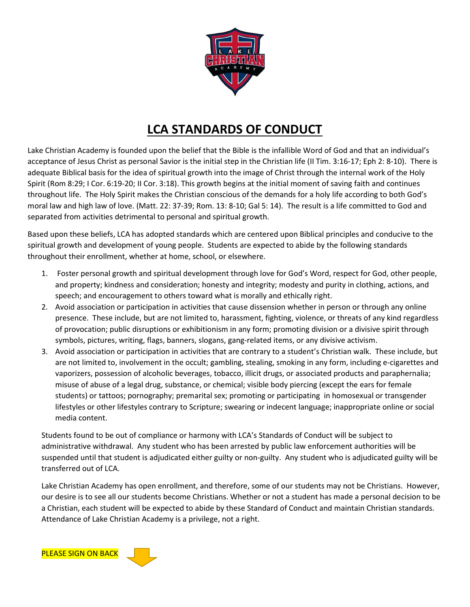

## LCA STANDARDS OF CONDUCT

Lake Christian Academy is founded upon the belief that the Bible is the infallible Word of God and that an individual's acceptance of Jesus Christ as personal Savior is the initial step in the Christian life (II Tim. 3:16-17; Eph 2: 8-10). There is adequate Biblical basis for the idea of spiritual growth into the image of Christ through the internal work of the Holy Spirit (Rom 8:29; I Cor. 6:19-20; II Cor. 3:18). This growth begins at the initial moment of saving faith and continues throughout life. The Holy Spirit makes the Christian conscious of the demands for a holy life according to both God's moral law and high law of love. (Matt. 22: 37-39; Rom. 13: 8-10; Gal 5: 14). The result is a life committed to God and separated from activities detrimental to personal and spiritual growth.

Based upon these beliefs, LCA has adopted standards which are centered upon Biblical principles and conducive to the spiritual growth and development of young people. Students are expected to abide by the following standards throughout their enrollment, whether at home, school, or elsewhere.

- 1. Foster personal growth and spiritual development through love for God's Word, respect for God, other people, and property; kindness and consideration; honesty and integrity; modesty and purity in clothing, actions, and speech; and encouragement to others toward what is morally and ethically right.
- 2. Avoid association or participation in activities that cause dissension whether in person or through any online presence. These include, but are not limited to, harassment, fighting, violence, or threats of any kind regardless of provocation; public disruptions or exhibitionism in any form; promoting division or a divisive spirit through symbols, pictures, writing, flags, banners, slogans, gang-related items, or any divisive activism.
- 3. Avoid association or participation in activities that are contrary to a student's Christian walk. These include, but are not limited to, involvement in the occult; gambling, stealing, smoking in any form, including e-cigarettes and vaporizers, possession of alcoholic beverages, tobacco, illicit drugs, or associated products and paraphernalia; misuse of abuse of a legal drug, substance, or chemical; visible body piercing (except the ears for female students) or tattoos; pornography; premarital sex; promoting or participating in homosexual or transgender lifestyles or other lifestyles contrary to Scripture; swearing or indecent language; inappropriate online or social media content.

Students found to be out of compliance or harmony with LCA's Standards of Conduct will be subject to administrative withdrawal. Any student who has been arrested by public law enforcement authorities will be suspended until that student is adjudicated either guilty or non-guilty. Any student who is adjudicated guilty will be transferred out of LCA.

Lake Christian Academy has open enrollment, and therefore, some of our students may not be Christians. However, our desire is to see all our students become Christians. Whether or not a student has made a personal decision to be a Christian, each student will be expected to abide by these Standard of Conduct and maintain Christian standards. Attendance of Lake Christian Academy is a privilege, not a right.

PLEASE SIGN ON BACK